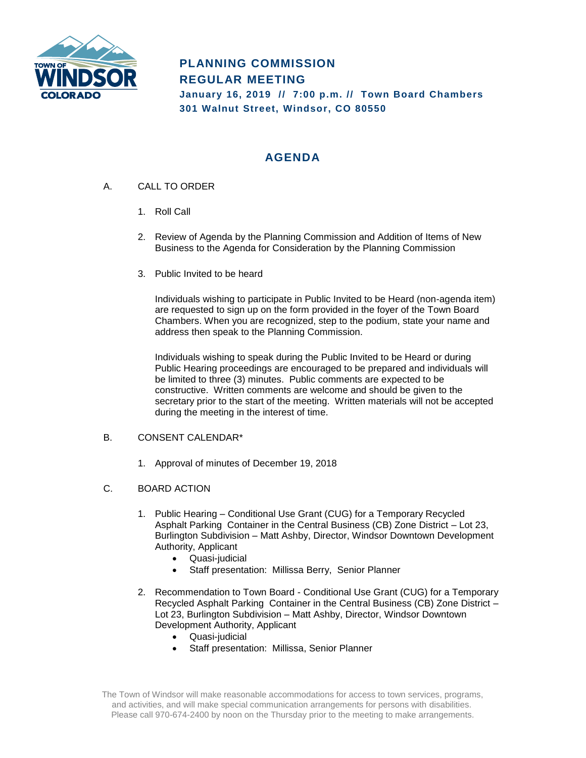

# **PLANNING COMMISSION REGULAR MEETING January 16, 2019 // 7:00 p.m. // Town Board Chambers 301 Walnut Street, Windsor, CO 80550**

# **AGENDA**

- A. CALL TO ORDER
	- 1. Roll Call
	- 2. Review of Agenda by the Planning Commission and Addition of Items of New Business to the Agenda for Consideration by the Planning Commission
	- 3. Public Invited to be heard

Individuals wishing to participate in Public Invited to be Heard (non-agenda item) are requested to sign up on the form provided in the foyer of the Town Board Chambers. When you are recognized, step to the podium, state your name and address then speak to the Planning Commission.

Individuals wishing to speak during the Public Invited to be Heard or during Public Hearing proceedings are encouraged to be prepared and individuals will be limited to three (3) minutes. Public comments are expected to be constructive. Written comments are welcome and should be given to the secretary prior to the start of the meeting. Written materials will not be accepted during the meeting in the interest of time.

## B. CONSENT CALENDAR\*

- 1. Approval of minutes of December 19, 2018
- C. BOARD ACTION
	- 1. Public Hearing Conditional Use Grant (CUG) for a Temporary Recycled Asphalt Parking Container in the Central Business (CB) Zone District – Lot 23, Burlington Subdivision – Matt Ashby, Director, Windsor Downtown Development Authority, Applicant
		- Quasi-judicial
		- Staff presentation: Millissa Berry, Senior Planner
	- 2. Recommendation to Town Board Conditional Use Grant (CUG) for a Temporary Recycled Asphalt Parking Container in the Central Business (CB) Zone District – Lot 23, Burlington Subdivision – Matt Ashby, Director, Windsor Downtown Development Authority, Applicant
		- Quasi-judicial
		- Staff presentation: Millissa, Senior Planner

The Town of Windsor will make reasonable accommodations for access to town services, programs, and activities, and will make special communication arrangements for persons with disabilities. Please call 970-674-2400 by noon on the Thursday prior to the meeting to make arrangements.